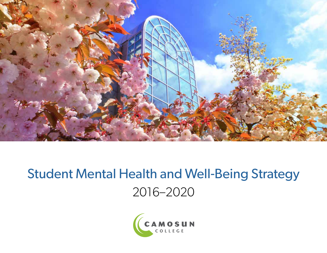

# Student Mental Health and Well-Being Strategy 2016–2020

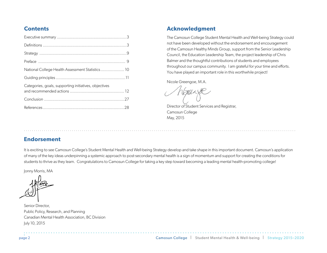### **Contents**

| National College Health Assessment Statistics 10      |  |
|-------------------------------------------------------|--|
|                                                       |  |
| Categories, goals, supporting initiatives, objectives |  |
|                                                       |  |
|                                                       |  |

### **Acknowledgment**

The Camosun College Student Mental Health and Well-being Strategy could not have been developed without the endorsement and encouragement of the Camosun Healthy Minds Group, support from the Senior Leadership Council, the Education Leadership Team, the project leadership of Chris Balmer and the thoughtful contributions of students and employees throughout our campus community. I am grateful for your time and efforts. You have played an important role in this worthwhile project!

Nicole Greengoe, M.A.

Director of Student Services and Registrar, Camosun College May, 2015

### **Endorsement**

It is exciting to see Camosun College's Student Mental Health and Well-being Strategy develop and take shape in this important document. Camosun's application of many of the key ideas underpinning a systemic approach to post-secondary mental health is a sign of momentum and support for creating the conditions for students to thrive as they learn. Congratulations to Camosun College for taking a key step toward becoming a leading mental health-promoting college!

............................................................................................................................... .........

Jonny Morris, MA

Senior Director, Public Policy, Research, and Planning Canadian Mental Health Association, BC Division July 10, 2015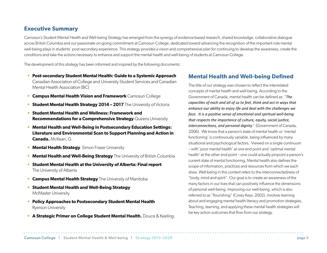### **Executive Summary**

Camosun's Student Mental Health and Well-being Strategy has emerged from the synergy of evidence-based research, shared knowledge, collaborative dialogue across British Columbia and our passionate on-going commitment at Camosun College, dedicated toward advancing the recognition of the important role mental well-being plays in students' post-secondary experience. This strategy provides a vision and comprehensive plan for continuing to develop the awareness, create the conditions and take the actions necessary to enhance and support the mental health and well-being of students at Camosun College.

The development of this strategy has been informed and inspired by the following documents:

- **Post-secondary Student Mental Health: Guide to a Systemic Approach**  Canadian Association of College and University Student Services and Canadian Mental Health Association (BC)
- **Campus Mental Health Vision and Framework** Camosun College
- **F** Student Mental Health Strategy 2014 2017 The University of Victoria
- **Student Mental Health and Wellness: Framework and Recommendations for a Comprehensive Strategy** Queens University
- **Mental Health and Well-Being in Postsecondary Education Settings: Literature and Environmental Scan to Support Planning and Action in Canada.** McKean, G.
- **Mental Health Strategy** Simon Fraser University
- **Mental Health and Well-Being Strategy** The University of British Columbia
- **Student Mental Health at the University of Alberta: Final report** The University of Alberta
- **Campus Mental Health Strategy** The University of Manitoba
- **Student Mental Health and Well-Being Strategy**  McMaster University
- **Policy Approaches to Postsecondary Student Mental Health** Ryerson University
- **A Strategic Primer on College Student Mental Health.** Douce & Keeling.

### **Mental Health and Well-being Defined**

The title of our strategy was chosen to reflect the interrelated concepts of mental health and well-being. According to the Government of Canada, mental health can be defined as: "*The capacities of each and all of us to feel, think and act in ways that enhance our ability to enjoy life and deal with the challenges we*  face. It is a positive sense of emotional and spiritual well-being *that respects the importance of culture, equity, social justice, interconnections, and personal dignity*." (Government of Canada, 2006). We know that a person's state of mental health or 'mental functioning' is continuously variable, being influenced by many situational and psychological factors. Viewed on a single continuum – with 'poor mental health' at one end point and 'optimal mental health' at the other end point – one could actually pinpoint a person's current state of mental functioning. Mental health also defines the scope of information, practices and resources from which we each draw. Well-being in this context refers to the interconnectedness of "body, mind and spirit". Our goal is to create an awareness of the many factors in our lives that can positively influence the dimensions of personal well-being. Improving our well-being, which is also referred to as "flourishing" (Corey Keys, 2002), involves learning about and engaging mental health literacy and promotion strategies. Teaching, learning, and applying these mental health strategies will be key action outcomes that flow from our strategy.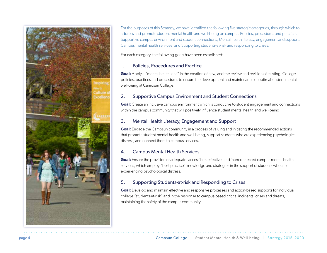

For the purposes of this Strategy, we have identified the following five strategic categories, through which to address and promote student mental health and well-being on campus: Policies, procedures and practice; Supportive campus environment and student connections; Mental health literacy, engagement and support; Campus mental health services; and Supporting students-at-risk and responding to crises.

For each category, the following goals have been established:

#### 1. Policies, Procedures and Practice

**Goal:** Apply a "mental health lens" in the creation of new, and the review and revision of existing, College policies, practices and procedures to ensure the development and maintenance of optimal student mental well-being at Camosun College.

### 2. Supportive Campus Environment and Student Connections

**Goal:** Create an inclusive campus environment which is conducive to student engagement and connections within the campus community that will positively influence student mental health and well-being.

### 3. Mental Health Literacy, Engagement and Support

**Goal:** Engage the Camosun community in a process of valuing and initiating the recommended actions that promote student mental health and well-being, support students who are experiencing psychological distress, and connect them to campus services.

### 4. Campus Mental Health Services

**Goal:** Ensure the provision of adequate, accessible, effective, and interconnected campus mental health services, which employ "best practice" knowledge and strategies in the support of students who are experiencing psychological distress.

### 5. Supporting Students-at-risk and Responding to Crises

**Goal:** Develop and maintain effective and responsive processes and action-based supports for individual college "students-at-risk" and in the response to campus-based critical incidents, crises and threats, maintaining the safety of the campus community.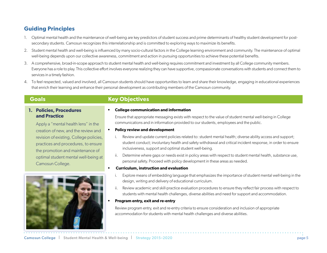## **Guiding Principles**

- 1. Optimal mental health and the maintenance of well-being are key predictors of student success and prime determinants of healthy student development for postsecondary students. Camosun recognizes this interrelationship and is committed to exploring ways to maximize its benefits.
- 2. Student mental health and well-being is influenced by many socio-cultural factors in the College learning environment and community. The maintenance of optimal well-being depends upon our collective awareness, commitment and action in pursuing opportunities to achieve these potential benefits.
- 3. A comprehensive, broad-in-scope approach to student mental health and well-being requires commitment and investment by all College community members. Everyone has a role to play. This collective effort involves everyone realizing they can have supportive, compassionate conversations with students and connect them to services in a timely fashion.
- 4. To feel respected, valued and involved, all Camosun students should have opportunities to learn and share their knowledge, engaging in educational experiences that enrich their learning and enhance their personal development as contributing members of the Camosun community.

### **1. Policies, Procedures and Practice**

Apply a "mental health lens" in the creation of new, and the review and revision of existing, College policies, practices and procedures, to ensure the promotion and maintenance of optimal student mental well-being at Camosun College.



### **Goals Key Objectives**

#### **• College communication and information**

Ensure that appropriate messaging exists with respect to the value of student mental well-being in College communications and in information provided to our students, employees and the public.

#### **• Policy review and development**

- i. Review and update current policies related to: student mental health; diverse ability access and support; student conduct; involuntary health and safety withdrawal and critical incident response, in order to ensure inclusiveness, support and optimal student well-being.
- ii. Determine where gaps or needs exist in policy areas with respect to student mental health, substance use, personal safety. Proceed with policy development in these areas as needed.

#### **• Curriculum, instruction and evaluation**

- i. Explore means of embedding language that emphasizes the importance of student mental well-being in the design, writing and delivery of educational curriculum.
- ii. Review academic and skill-practice evaluation procedures to ensure they reflect fair process with respect to students with mental health challenges, diverse abilities and need for support and accommodation.
- **• Program entry, exit and re-entry**

Review program entry, exit and re-entry criteria to ensure consideration and inclusion of appropriate accommodation for students with mental health challenges and diverse abilities.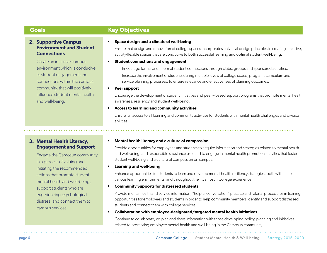#### **2. Supportive Campus Environment and Student Connections**

Create an inclusive campus environment which is conducive to student engagement and connections within the campus community, that will positively influence student mental health and well-being.

### **Goals Key Objectives**

#### **• Space design and a climate of well-being**

Ensure that design and renovation of college spaces incorporates universal design principles in creating inclusive, activity-flexible spaces that are conducive to both successful learning and optimal student well-being.

#### **• Student connections and engagement**

- Encourage formal and informal student connections through clubs, groups and sponsored activities.
- ii. Increase the involvement of students during multiple levels of college space, program, curriculum and service planning processes, to ensure relevance and effectiveness of planning outcomes.
- **• Peer support**

Encourage the development of student initiatives and peer – based support programs that promote mental health awareness, resiliency and student well-being.

#### **• Access to learning and community activities**

 Ensure full access to all learning and community activities for students with mental health challenges and diverse abilities.

### **3. Mental Health Literacy, Engagement and Support**

Engage the Camosun community in a process of valuing and initiating the recommended actions that promote student mental health and well-being, support students who are experiencing psychological distress, and connect them to campus services.

#### **• Mental health literacy and a culture of compassion**

Provide opportunities for employees and students to acquire information and strategies related to mental health and well-being, and responsible substance use, and to engage in mental health promotion activities that foster student well-being and a culture of compassion on campus.

#### **• Learning and well-being**

Enhance opportunities for students to learn and develop mental health resiliency strategies, both within their various learning environments, and throughout their Camosun College experience.

#### **• Community Supports for distressed students**

Provide mental health and service information, "helpful conversation" practice and referral procedures in training opportunities for employees and students in order to help community members identify and support distressed students and connect them with college services.

#### **• Collaboration with employee-designated/targeted mental health initiatives**

Continue to collaborate, co-plan and share information with those developing policy, planning and initiatives related to promoting employee mental health and well-being in the Camosun community.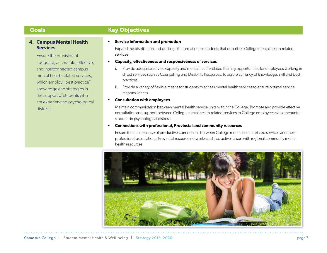### **4. Campus Mental Health Services**

Ensure the provision of adequate, accessible, effective, and interconnected campus mental health-related services, which employ "best practice" knowledge and strategies in the support of students who are experiencing psychological distress.

### **Goals Key Objectives**

#### **• Service information and promotion**

Expand the distribution and posting of information for students that describes College mental health-related services.

#### **• Capacity, effectiveness and responsiveness of services**

- i. Provide adequate service capacity and mental health-related training opportunities for employees working in direct services such as Counselling and Disability Resources, to assure currency of knowledge, skill and best practices.
- ii. Provide a variety of flexible means for students to access mental health services to ensure optimal service responsiveness.

#### **• Consultation with employees**

Maintain communication between mental health service units within the College. Promote and provide effective consultation and support between College mental health-related services to College employees who encounter students in psychological distress.

#### **• Connections with professional, Provincial and community resources**

Ensure the maintenance of productive connections between College mental health-related services and their professional associations, Provincial resource networks and also active liaison with regional community mental health resources.

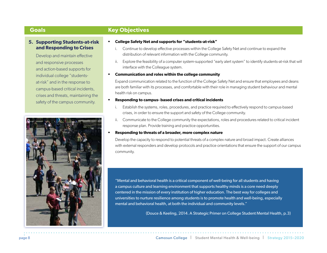#### **5. Supporting Students-at-risk and Responding to Crises**

Develop and maintain effective and responsive processes and action-based supports for individual college "studentsat-risk" and in the response to campus-based critical incidents, crises and threats, maintaining the safety of the campus community.



### **Goals Key Objectives**

- **• College Safety Net and supports for "students-at-risk"** 
	- i. Continue to develop effective processes within the College Safety Net and continue to expand the distribution of relevant information with the College community.
	- ii. Explore the feasibility of a computer system-supported "early alert system" to identify students-at-risk that will interface with the Colleague system.

#### **• Communication and roles within the college community**

Expand communication related to the function of the College Safety Net and ensure that employees and deans are both familiar with its processes, and comfortable with their role in managing student behaviour and mental health risk on campus.

#### **• Responding to campus- based crises and critical incidents**

- i. Establish the systems, roles, procedures, and practice required to effectively respond to campus-based crises, in order to ensure the support and safety of the College community.
- ii. Communicate to the College community the expectations, roles and procedures related to critical incident response plan. Provide training and practice opportunities.

#### **• Responding to threats of a broader, more complex nature**

Develop the capacity to respond to potential threats of a complex nature and broad impact. Create alliances with external responders and develop protocols and practice orientations that ensure the support of our campus community.

"Mental and behavioral health is a critical component of well-being for all students and having a campus culture and learning environment that supports healthy minds is a core need deeply centered in the mission of every institution of higher education. The best way for colleges and universities to nurture resilience among students is to promote health and well-being, especially mental and behavioral health, at both the individual and community levels."

(Douce & Keeling, 2014. A Strategic Primer on College Student Mental Health, p.3)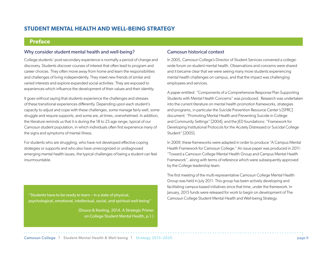### **STUDENT MENTAL HEALTH AND WELL-BEING STRATEGY**

### **Preface**

#### Why consider student mental health and well-being?

College students' post-secondary experience is normally a period of change and discovery. Students discover courses of interest that often lead to program and career choices. They often move away from home and learn the responsibilities and challenges of living independently. They meet new friends of similar and varied interests and explore expanded social activities. They are exposed to experiences which influence the development of their values and their identity.

It goes without saying that students experience the challenges and stresses of these transitional experiences differently. Depending upon each student's capacity to adjust and cope with these challenges, some manage fairly well, some struggle and require supports, and some are, at times, overwhelmed. In addition, the literature reminds us that it is during the 18 to 25 age range, typical of our Camosun student population, in which individuals often first experience many of the signs and symptoms of mental illness.

For students who are struggling, who have not developed effective coping strategies or supports and who also have unrecognized or undiagnosed emerging mental health issues, the typical challenges of being a student can feel insurmountable.

Camosun College Student Mental Health and Well-being Strategy. "Students have to be ready to learn – in a state of physical, psychological, emotional, intellectual, social, and spiritual well-being"

> (Douce & Keeling, 2014. A Strategic Primer on College Student Mental Health, p.1.)

### Camosun historical context

In 2005, Camosun College's Director of Student Services convened a collegewide forum on student mental health. Observations and concerns were shared and it became clear that we were seeing many more students experiencing mental health challenges on campus, and that the impact was challenging employees and services.

A paper entitled: "Components of a Comprehensive Response Plan Supporting Students with Mental Health Concerns" was produced. Research was undertaken into the current literature on mental health promotion frameworks, strategies and programs, in particular the Suicide Prevention Resource Center's [SPRC] document: "Promoting Mental Health and Preventing Suicide in College and Community Settings" [2004], and the JED foundations: "Framework for Developing Institutional Protocols for the Acutely Distressed or Suicidal College Student" [2005].

In 2009, these frameworks were adapted in order to produce "A Campus Mental Health Framework for Camosun College." An issue paper was produced in 2011: "Toward a Camosun College Mental Health Group and Campus Mental Health Framework", along with terms of reference which were subsequently approved by the College leadership team.

The first meeting of the multi-representative Camosun College Mental Health Group was held in July 2011. This group has been actively developing and facilitating campus-based initiatives since that time, under the framework. In January, 2015 funds were released for work to begin on development of The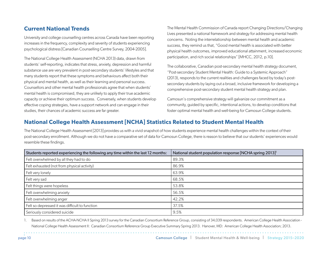### **Current National Trends**

University and college counselling centres across Canada have been reporting increases in the frequency, complexity and severity of students experiencing psychological distress [Canadian Counselling Centre Survey, 2004-2005].

The National College Health Assessment (NCHA 2013) data, drawn from students' self-reporting, indicates that stress, anxiety, depression and harmful substance use are very prevalent in post-secondary students' lifestyles and that many students report that these symptoms and behaviours affect both their physical and mental health, as well as their learning and personal success. Counsellors and other mental health professionals agree that when students' mental health is compromised, they are unlikely to apply their true academic capacity or achieve their optimum success. Conversely, when students develop effective coping strategies, have a support network and can engage in their studies, their chances of academic success are far greater.

The Mental Health Commission of Canada report Changing Directions/Changing Lives presented a national framework and strategy for addressing mental health concerns. Noting the interrelationship between mental health and academic success, they remind us that, "Good mental health is associated with better physical health outcomes, improved educational attainment, increased economic participation, and rich social relationships" [MHCC, 2012, p.10].

The collaborative, Canadian post-secondary mental health strategy document, "Post-secondary Student Mental Health: Guide to a Systemic Approach" (2013), responds to the current realities and challenges faced by today's postsecondary students by laying out a broad, inclusive framework for developing a comprehensive post-secondary student mental health strategy and plan.

Camosun's comprehensive strategy will galvanize our commitment as a community, guided by specific, intentional actions, to develop conditions that foster optimal mental health and well-being for Camosun College students.

## **National College Health Assessment [NCHA] Statistics Related to Student Mental Health**

The National College Health Assessment [2013] provides us with a vivid snapshot of how students experience mental health challenges within the context of their post-secondary enrollment. Although we do not have a comparative set of data for Camosun College, there is reason to believe that our students' experiences would resemble these findings.

| Students reported experiencing the following any time within the last 12 months: | National student population response [NCHA spring 2013] <sup>1</sup> |
|----------------------------------------------------------------------------------|----------------------------------------------------------------------|
| Felt overwhelmed by all they had to do                                           | 89.3%                                                                |
| Felt exhausted (not from physical activity)                                      | 86.9%                                                                |
| Felt very lonely                                                                 | 63.9%                                                                |
| Felt very sad                                                                    | 68.5%                                                                |
| Felt things were hopeless                                                        | 53.8%                                                                |
| Felt overwhelming anxiety                                                        | 56.5%                                                                |
| Felt overwhelming anger                                                          | 42.2%                                                                |
| Felt so depressed it was difficult to function                                   | 37.5%                                                                |
| Seriously considered suicide                                                     | 9.5%                                                                 |

1. Based on results of the ACHA-NCHA II Spring 2013 survey for the Canadian Consortium Reference Group, consisting of 34,039 respondents. American College Health Association -National College Health Assessment II: Canadian Consortium Reference Group Executive Summary Spring 2013. Hanover, MD: American College Health Association; 2013.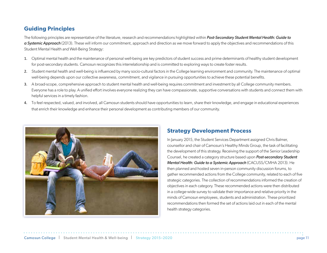## **Guiding Principles**

The following principles are representative of the literature, research and recommendations highlighted within *Post-Secondary Student Mental Health: Guide to a Systemic Approach* (2013). These will inform our commitment, approach and direction as we move forward to apply the objectives and recommendations of this Student Mental Health and Well-Being Strategy:

- 1. Optimal mental health and the maintenance of personal well-being are key predictors of student success and prime determinants of healthy student development for post-secondary students. Camosun recognizes this interrelationship and is committed to exploring ways to create foster results.
- 2. Student mental health and well-being is influenced by many socio-cultural factors in the College learning environment and community. The maintenance of optimal well-being depends upon our collective awareness, commitment, and vigilance in pursuing opportunities to achieve these potential benefits.
- 3. A broad-scope, comprehensive approach to student mental health and well-being requires commitment and investment by all College community members. Everyone has a role to play. A unified effort involves everyone realizing they can have compassionate, supportive conversations with students and connect them with helpful services in a timely fashion.
- 4. To feel respected, valued, and involved, all Camosun students should have opportunities to learn, share their knowledge, and engage in educational experiences that enrich their knowledge and enhance their personal development as contributing members of our community.



## **Strategy Development Process**

In January 2015, the Student Services Department assigned Chris Balmer, counsellor and chair of Camosun's Healthy Minds Group, the task of facilitating the development of this strategy. Receiving the support of the Senior Leadership Counsel, he created a category structure based upon *Post-secondary Student Mental Health: Guide to a Systemic Approach* (CACUSS/CMHA 2013). He then planned and hosted seven in-person community discussion forums, to gather recommended actions from the College community, related to each of five strategic categories. The collection of recommendations informed the creation of objectives in each category. These recommended actions were then distributed in a college-wide survey to validate their importance and relative priority in the minds of Camosun employees, students and administration. These prioritized recommendations then formed the set of actions laid out in each of the mental health strategy categories.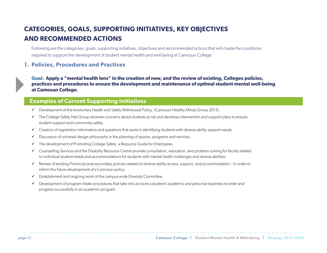## **CATEGORIES, GOALS, SUPPORTING INITIATIVES, KEY OBJECTIVES AND RECOMMENDED ACTIONS**

Following are the categories, goals, supporting initiatives, objectives and recommended actions that will create the conditions required to support the development of student mental health and well-being at Camosun College.

### **1. Policies, Procedures and Practices**

**Goal: Apply a "mental health lens" in the creation of new, and the review of existing, Colleges policies, practices and procedures to ensure the development and maintenance of optimal student mental well-being at Camosun College.**

### **Examples of Current Supporting Initiatives**

- $\checkmark$  Development of the Involuntary Health and Safety Withdrawal Policy. (Camosun Healthy Minds Group 2013).
- $\checkmark$  The College Safety Net Group receives concerns about students at risk and develops intervention and support plans to ensure student support and community safety.
- $\checkmark$  Creation of registration information and questions that assist in identifying students with diverse ability support needs.
- $\checkmark$  Discussion of universal design philosophy in the planning of spaces, programs and services.
- $\checkmark$  The development of Promoting College Safety: a Resource Guide for Employees.
- $\checkmark$  Counselling Services and the Disability Resource Centre provide consultation, education, and problem solving for faculty related to individual student needs and accommodations for students with mental health challenges and diverse abilities.
- $\checkmark$  Review of existing Provincial post-secondary policies related to diverse ability access, support, and accommodation in order to inform the future development of a Camosun policy.
- $\checkmark$  Establishment and ongoing work of the campus-wide Diversity Committee.
- $\checkmark$  Development of program intake procedures that take into account a student's academic and personal readiness to enter and progress successfully in an academic program.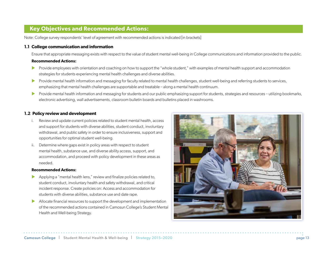### **Key Objectives and Recommended Actions:**

Note: College survey respondents' level of agreement with recommended actions is indicated [in brackets]

#### **1.1 College communication and information**

Ensure that appropriate messaging exists with respect to the value of student mental well-being in College communications and information provided to the public.

#### **Recommended Actions:**

- Provide employees with orientation and coaching on how to support the "whole student," with examples of mental health support and accommodation strategies for students experiencing mental health challenges and diverse abilities.
- **IX** Provide mental health information and messaging for faculty related to mental health challenges, student well-being and referring students to services, emphasizing that mental health challenges are supportable and treatable – along a mental health continuum.
- ▶ Provide mental health information and messaging for students and our public emphasizing support for students, strategies and resources utilizing bookmarks, electronic advertising, wall advertisements, classroom bulletin boards and bulletins placed in washrooms.

#### **1.2 Policy review and development**

- i. Review and update current policies related to student mental health, access and support for students with diverse abilities, student conduct, involuntary withdrawal, and public safety in order to ensure inclusiveness, support and opportunities for optimal student well-being.
- ii. Determine where gaps exist in policy areas with respect to student mental health, substance use, and diverse ability access, support, and accommodation, and proceed with policy development in these areas as needed.

- $\blacktriangleright$  Applying a "mental health lens," review and finalize policies related to, student conduct, involuntary health and safety withdrawal, and critical incident response. Create policies on: Access and accommodation for students with diverse abilities, substance use and date rape.
- Allocate financial resources to support the development and implementation of the recommended actions contained in Camosun College's Student Mental Health and Well-being Strategy.

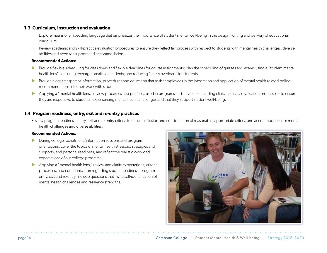#### **1.3 Curriculum, instruction and evaluation**

- i. Explore means of embedding language that emphasizes the importance of student mental well-being in the design, writing and delivery of educational curriculum.
- ii. Review academic and skill-practice evaluation procedures to ensure they reflect fair process with respect to students with mental health challenges, diverse abilities and need for support and accommodation.

#### **Recommended Actions:**

- **IF** Provide flexible scheduling for class times and flexible deadlines for course assignments; plan the scheduling of quizzes and exams using a "student mental" health lens"– ensuring recharge breaks for students, and reducing "stress overload" for students.
- **EXECT** Provide clear, transparent information, procedures and education that assist employees in the integration and application of mental health-related policy recommendations into their work with students.
- Applying a "mental health lens," review processes and practices used in programs and services including clinical practice evaluation processes to ensure they are responsive to students' experiencing mental health challenges and that they support student well-being.

#### **1.4 Program readiness, entry, exit and re-entry practices**

Review program readiness, entry, exit and re-entry criteria to ensure inclusion and consideration of reasonable, appropriate criteria and accommodation for mental health challenges and diverse abilities.

- $\blacktriangleright$  During college recruitment/information sessions and program orientations, cover the topics of mental health stressors, strategies and supports, and personal readiness, and reflect the realistic workload expectations of our college programs.
- $\blacktriangleright$  Applying a "mental health lens," review and clarify expectations, criteria, processes, and communication regarding student readiness, program entry, exit and re-entry. Include questions that invite self-identification of mental health challenges and resiliency strengths.

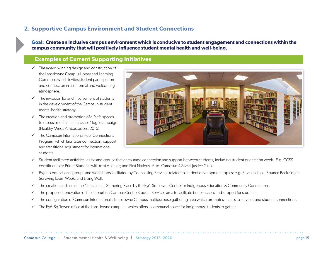### **2. Supportive Campus Environment and Student Connections**

**Goal: Create an inclusive campus environment which is conducive to student engagement and connections within the campus community that will positively influence student mental health and well-being.**

### **Examples of Current Supporting Initiatives**

- $\checkmark$  The award-winning design and construction of the Lansdowne Campus Library and Learning Commons which invites student participation and connection in an informal and welcoming atmosphere.
- $\checkmark$  The invitation for and involvement of students in the development of the Camosun student mental health strategy.
- $\checkmark$  The creation and promotion of a "safe spaces" to discuss mental health issues" logo campaign (Healthy Minds Ambassadors, 2015)
- $\checkmark$  The Camosun International Peer Connections Program, which facilitates connection, support and transitional adjustment for international students.



- 9 Student-facilitated activities, clubs and groups that encourage connection and support between students, including student orientation week. E.g. CCSS constituencies: Pride; Students with (dis) Abilities; and First Nations. Also: Camosun 4 Social Justice Club.
- 9 Psycho-educational groups and workshops facilitated by Counselling Services related to student development topics: e.g. Relationships; Bounce Back Yoga; Surviving Exam Week; and Living Well.
- $\checkmark$  The creation and use of the Na'tsa'maht Gathering Place by the Eyē Sq 'lewen Centre for Indigenous Education & Community Connections.
- $\checkmark$  The proposed renovation of the Interurban Campus Centre Student Services area to facilitate better access and support for students.
- $\checkmark$  The configuration of Camosun International's Lansdowne Campus multipurpose gathering area which promotes access to services and student connections.
- $\checkmark$  The Eyē Sq 'lewen office at the Lansdowne campus which offers a communal space for Indigenous students to gather.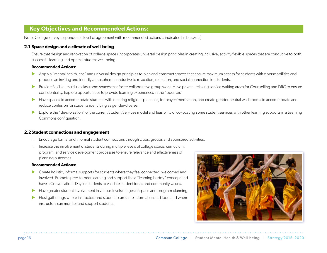### **Key Objectives and Recommended Actions:**

Note: College survey respondents' level of agreement with recommended actions is indicated [in brackets]

#### **2.1 Space design and a climate of well-being**

Ensure that design and renovation of college spaces incorporates universal design principles in creating inclusive, activity-flexible spaces that are conducive to both successful learning and optimal student well-being.

#### **Recommended Actions:**

- Apply a "mental health lens" and universal design principles to plan and construct spaces that ensure maximum access for students with diverse abilities and produce an inviting and friendly atmosphere, conducive to relaxation, reflection, and social connection for students.
- Provide flexible, multiuse classroom spaces that foster collaborative group work. Have private, relaxing service waiting areas for Counselling and DRC to ensure confidentiality. Explore opportunities to provide learning experiences in the "open air."
- Have spaces to accommodate students with differing religious practices, for prayer/meditation, and create gender-neutral washrooms to accommodate and reduce confusion for students identifying as gender-diverse.
- Explore the "de-siloization" of the current Student Services model and feasibility of co-locating some student services with other learning supports in a Learning Commons configuration.

#### **2.2Student connections and engagement**

- i. Encourage formal and informal student connections through clubs, groups and sponsored activities.
- ii. Increase the involvement of students during multiple levels of college space, curriculum, program, and service development processes to ensure relevance and effectiveness of planning outcomes.

- **X** Create holistic, informal supports for students where they feel connected, welcomed and involved. Promote peer-to-peer learning and support like a "learning buddy" concept and have a Conversations Day for students to validate student ideas and community values.
- Have greater student involvement in various levels/stages of space and program planning.
- $\blacktriangleright$  Host gatherings where instructors and students can share information and food and where instructors can monitor and support students.

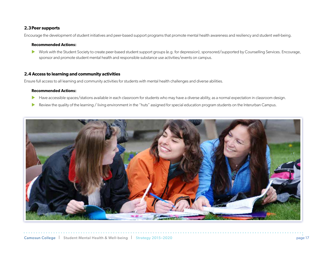#### **2.3Peer supports**

Encourage the development of student initiatives and peer-based support programs that promote mental health awareness and resiliency and student well-being.

#### **Recommended Actions:**

▶ Work with the Student Society to create peer-based student support groups (e.g. for depression), sponsored/supported by Counselling Services. Encourage, sponsor and promote student mental health and responsible substance use activities/events on campus.

#### **2.4 Access to learning and community activities**

Ensure full access to all learning and community activities for students with mental health challenges and diverse abilities.

- Have accessible spaces/stations available in each classroom for students who may have a diverse ability, as a normal expectation in classroom design.
- Review the quality of the learning / living environment in the "huts" assigned for special education program students on the Interurban Campus.

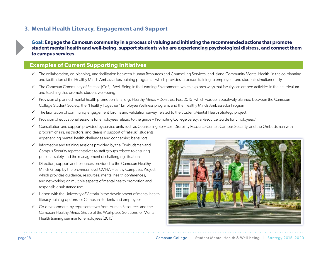### **3. Mental Health Literacy, Engagement and Support**

**Goal: Engage the Camosun community in a process of valuing and initiating the recommended actions that promote student mental health and well-being, support students who are experiencing psychological distress, and connect them to campus services.**

### **Examples of Current Supporting Initiatives**

- $\checkmark$  The collaboration, co-planning, and facilitation between Human Resources and Counselling Services, and Island Community Mental Health, in the co-planning and facilitation of the Healthy Minds Ambassadors training program, – which provides in-person training to employees and students simultaneously.
- $\checkmark$  The Camosun Community of Practice [CoP]: Well-Being in the Learning Environment, which explores ways that faculty can embed activities in their curriculum and teaching that promote student well-being.
- $\checkmark$  Provision of planned mental health promotion fairs, e.g. Healthy Minds De-Stress Fest 2015, which was collaboratively planned between the Camosun College Student Society, the "Healthy Together" Employee Wellness program, and the Healthy Minds Ambassador Program.
- $\checkmark$  The facilitation of community engagement forums and validation survey, related to the Student Mental Health Strategy project.
- 9 Provision of educational sessions for employees related to the guide Promoting College Safety: a Resource Guide for Employees."
- $\checkmark$  Consultation and support provided by service units such as Counselling Services, Disability Resource Center, Campus Security, and the Ombudsman with program chairs, instructors, and deans in support of "at-risk" students experiencing mental health challenges and concerning behaviors.
- $\checkmark$  Information and training sessions provided by the Ombudsman and Campus Security representatives to staff groups related to ensuring personal safety and the management of challenging situations.
- $\checkmark$  Direction, support and resources provided to the Camosun Healthy Minds Group by the provincial level CMHA Healthy Campuses Project, which provides guidance, resources, mental health conferences, and networking on multiple aspects of mental health promotion and responsible substance use.
- $\checkmark$  Liaison with the University of Victoria in the development of mental health literacy training options for Camosun students and employees.
- $\checkmark$  Co-development, by representatives from Human Resources and the Camosun Healthy Minds Group of the Workplace Solutions for Mental Health training seminar for employees (2015).

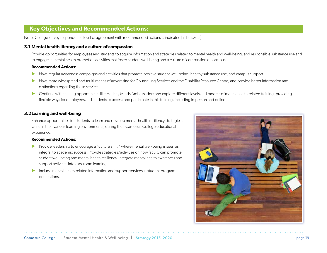### **Key Objectives and Recommended Actions:**

Note: College survey respondents' level of agreement with recommended actions is indicated [in brackets]

#### **3.1 Mental health literacy and a culture of compassion**

Provide opportunities for employees and students to acquire information and strategies related to mental health and well-being, and responsible substance use and to engage in mental health promotion activities that foster student well-being and a culture of compassion on campus.

#### **Recommended Actions:**

- **IDED Have regular awareness campaigns and activities that promote positive student well-being, healthy substance use, and campus support.**
- **IDED Have more widespread and multi-means of advertising for Counselling Services and the Disability Resource Centre, and provide better information and provide better information and** distinctions regarding these services.
- **IX** Continue with training opportunities like Healthy Minds Ambassadors and explore different levels and models of mental health-related training, providing flexible ways for employees and students to access and participate in this training, including in-person and online.

#### **3.2Learning and well-being**

Enhance opportunities for students to learn and develop mental health resiliency strategies, while in their various learning environments, during their Camosun College educational experience.

- $\blacktriangleright$  Provide leadership to encourage a "culture shift," where mental well-being is seen as integral to academic success. Provide strategies/activities on how faculty can promote student well-being and mental health resiliency. Integrate mental health awareness and support activities into classroom learning.
- $\blacktriangleright$  Include mental health-related information and support services in student program orientations.

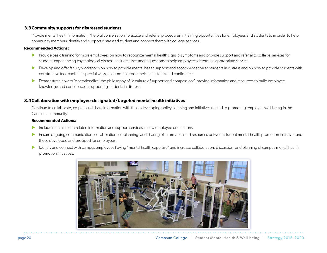#### **3.3Community supports for distressed students**

Provide mental health information, "helpful conversation" practice and referral procedures in training opportunities for employees and students to in order to help community members identify and support distressed student and connect them with college services.

#### **Recommended Actions:**

- **IDED** Provide basic training for more employees on how to recognize mental health signs & symptoms and provide support and referral to college services for students experiencing psychological distress. Include assessment questions to help employees determine appropriate service.
- Develop and offer faculty workshops on how to provide mental health support and accommodation to students in distress and on how to provide students with constructive feedback in respectful ways, so as not to erode their self-esteem and confidence.
- **EXEDED Demonstrate how to 'operationalize' the philosophy of "a culture of support and compassion;" provide information and resources to build employee** knowledge and confidence in supporting students in distress.

#### **3.4Collaboration with employee-designated/targeted mental health initiatives**

Continue to collaborate, co-plan and share information with those developing policy planning and initiatives related to promoting employee well-being in the Camosun community.

- Include mental health-related information and support services in new employee orientations.
- Ensure ongoing communication, collaboration, co-planning, and sharing of information and resources between student mental health promotion initiatives and those developed and provided for employees.
- Identify and connect with campus employees having "mental health expertise" and increase collaboration, discussion, and planning of campus mental health promotion initiatives.

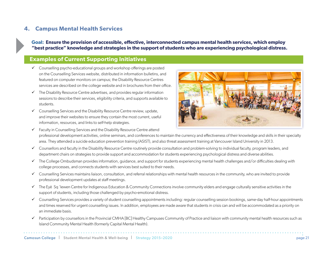### **4. Campus Mental Health Services**

**Goal: Ensure the provision of accessible, effective, interconnected campus mental health services, which employ "best practice" knowledge and strategies in the support of students who are experiencing psychological distress.**

### **Examples of Current Supporting Initiatives**

- $\checkmark$  Counselling psycho-educational groups and workshop offerings are posted on the Counselling Services website, distributed in information bulletins, and featured on computer monitors on campus; the Disability Resource Centres services are described on the college website and in brochures from their office.
- $\checkmark$  The Disability Resource Centre advertises, and provides regular information sessions to describe their services, eligibility criteria, and supports available to students.
- $\checkmark$  Counselling Services and the Disability Resource Centre review, update, and improve their websites to ensure they contain the most current, useful information, resources, and links to self-help strategies.

 $\checkmark$  Faculty in Counselling Services and the Disability Resource Centre attend



- professional development activities, online seminars, and conferences to maintain the currency and effectiveness of their knowledge and skills in their specialty area. They attended a suicide education prevention training (ASIST), and also threat assessment training at Vancouver Island University in 2013.
- $\checkmark$  Counsellors and faculty in the Disability Resource Centre routinely provide consultation and problem-solving to individual faculty, program leaders, and department chairs on strategies to provide support and accommodation for students experiencing psychological distress and diverse abilities.
- $\checkmark$  The College Ombudsman provides information, guidance, and support for students experiencing mental health challenges and/or difficulties dealing with college processes, and connects students with services best suited to their needs.
- $\checkmark$  Counselling Services maintains liaison, consultation, and referral relationships with mental health resources in the community, who are invited to provide professional development updates at staff meetings.
- $\checkmark$  The Eyē Sq 'lewen Centre for Indigenous Education & Community Connections involve community elders and engage culturally sensitive activities in the support of students, including those challenged by psycho-emotional distress.
- $\checkmark$  Counselling Services provides a variety of student counselling appointments including: regular counselling session bookings, same-day half-hour appointments and times reserved for urgent counselling issues. In addition, employees are made aware that students in crisis can and will be accommodated as a priority on an immediate basis.
- $\checkmark$  Participation by counsellors in the Provincial CMHA [BC] Healthy Campuses Community of Practice and liaison with community mental health resources such as Island Community Mental Health (formerly Capital Mental Health).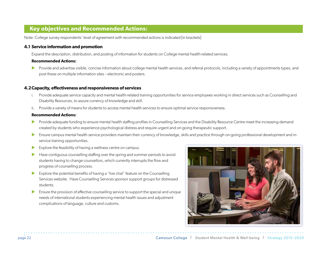### **Key objectives and Recommended Actions:**

Note: College survey respondents' level of agreement with recommended actions is indicated [in brackets]

#### **4.1 Service information and promotion**

Expand the description, distribution, and posting of information for students on College mental health-related services.

#### **Recommended Actions:**

**X** Provide and advertise visible, concise information about college mental health services, and referral protocols, including a variety of appointments types, and post these on multiple information sites – electronic and posters.

#### **4.2Capacity, effectiveness and responsiveness of services**

- i. Provide adequate service capacity and mental health-related training opportunities for service employees working in direct services such as Counselling and Disability Resources, to assure currency of knowledge and skill.
- ii. Provide a variety of means for students to access mental health services to ensure optimal service responsiveness.

- **IDED** Provide adequate funding to ensure mental health staffing profiles in Counselling Services and the Disability Resource Centre meet the increasing demand created by students who experience psychological distress and require urgent and on-going therapeutic support.
- Ensure campus mental health service providers maintain their currency of knowledge, skills and practice through on-going professional development and inservice training opportunities.
- $\blacktriangleright$  Explore the feasibility of having a wellness centre on campus.
- Have contiguous counselling staffing over the spring and summer periods to avoid students having to change counsellors, which currently interrupts the flow and progress of counselling process.
- $\blacktriangleright$  Explore the potential benefits of having a "live chat" feature on the Counselling Services website. Have Counselling Services sponsor support groups for distressed students.
- Ensure the provision of effective counselling service to support the special and unique needs of international students experiencing mental health issues and adjustment complications of language, culture and customs.

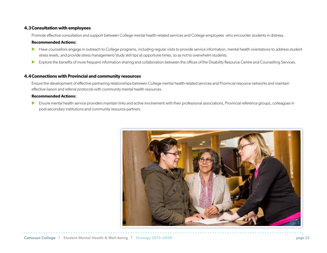#### **4.3Consultation with employees**

Promote effective consultation and support between College mental health-related services and College employees who encounter students in distress.

#### **Recommended Actions:**

- Have counsellors engage in outreach to College programs, including regular visits to provide service information, mental health orientations to address student stress levels, and provide stress management/study skill tips at opportune times, so as not to overwhelm students.
- Explore the benefits of more frequent information sharing and collaboration between the offices of the Disability Resource Centre and Counselling Services.

#### **4.4Connections with Provincial and community resources**

Ensure the development of effective partnering relationships between College mental health-related services and Provincial resource networks and maintain effective liaison and referral protocols with community mental health resources.

#### **Recommended Actions:**

**Insure mental health service providers maintain links and active involvement with their professional associations, Provincial reference groups, colleagues in** post-secondary institutions and community resource partners.

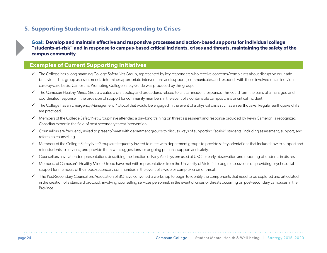### **5. Supporting Students-at-risk and Responding to Crises**

**Goal: Develop and maintain effective and responsive processes and action-based supports for individual college "students-at-risk" and in response to campus-based critical incidents, crises and threats, maintaining the safety of the campus community.**

### **Examples of Current Supporting Initiatives**

- $\checkmark$  The College has a long-standing College Safety Net Group, represented by key responders who receive concerns/complaints about disruptive or unsafe behaviour. This group assesses need, determines appropriate interventions and supports, communicates and responds with those involved on an individual case-by-case basis. Camosun's Promoting College Safety Guide was produced by this group.
- $\checkmark$  The Camosun Healthy Minds Group created a draft policy and procedures related to critical incident response. This could form the basis of a managed and coordinated response in the provision of support for community members in the event of a containable campus crisis or critical incident.
- $\checkmark$  The College has an Emergency Management Protocol that would be engaged in the event of a physical crisis such as an earthquake. Regular earthquake drills are practiced.
- $\checkmark$  Members of the College Safety Net Group have attended a day-long training on threat assessment and response provided by Kevin Cameron, a recognized Canadian expert in the field of post-secondary threat intervention.
- $\checkmark$  Counsellors are frequently asked to present/meet with department groups to discuss ways of supporting "at-risk" students, including assessment, support, and referral to counselling.
- $\checkmark$  Members of the College Safety Net Group are frequently invited to meet with department groups to provide safety orientations that include how to support and refer students to services, and provide them with suggestions for ongoing personal support and safety.
- ◆ Counsellors have attended presentations describing the function of Early Alert system used at UBC for early observation and reporting of students in distress.
- 9 Members of Camosun's Healthy Minds Group have met with representatives from the University of Victoria to begin discussions on providing psychosocial support for members of their post-secondary communities in the event of a wide or complex crisis or threat.
- $\checkmark$  The Post-Secondary Counsellors Association of BC have convened a workshop to begin to identify the components that need to be explored and articulated in the creation of a standard protocol, involving counselling services personnel, in the event of crises or threats occurring on post-secondary campuses in the Province.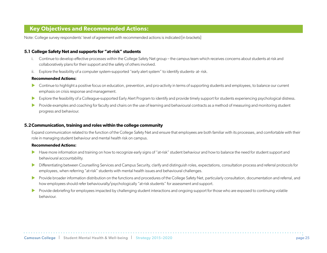### **Key Objectives and Recommended Actions:**

Note: College survey respondents' level of agreement with recommended actions is indicated [in brackets]

#### **5.1 College Safety Net and supports for "at-risk" students**

- i. Continue to develop effective processes within the College Safety Net group the campus team which receives concerns about students at risk and collaboratively plans for their support and the safety of others involved.
- ii. Explore the feasibility of a computer system-supported "early alert system" to identify students- at- risk.

#### **Recommended Actions:**

- **In Exercise 3** Continue to highlight a positive focus on education, prevention, and pro-activity in terms of supporting students and employees, to balance our current emphasis on crisis response and management.
- Explore the feasibility of a Colleague-supported Early Alert Program to identify and provide timely support for students experiencing psychological distress.
- **IDED** Provide examples and coaching for faculty and chairs on the use of learning and behavioural contracts as a method of measuring and monitoring student progress and behaviour.

#### **5.2Communication, training and roles within the college community**

Expand communication related to the function of the College Safety Net and ensure that employees are both familiar with its processes, and comfortable with their role in managing student behaviour and mental health risk on campus.

- Have more information and training on how to recognize early signs of "at-risk" student behaviour and how to balance the need for student support and behavioural accountability.
- **X** Differentiating between Counselling Services and Campus Security, clarify and distinguish roles, expectations, consultation process and referral protocols for employees, when referring "at-risk" students with mental health issues and behavioural challenges.
- **EX Provide broader information distribution on the functions and procedures of the College Safety Net, particularly consultation, documentation and referral, and** how employees should refer behaviourally/psychologically "at-risk students" for assessment and support.
- **EXECTS** Provide debriefing for employees impacted by challenging student interactions and ongoing support for those who are exposed to continuing volatile behaviour.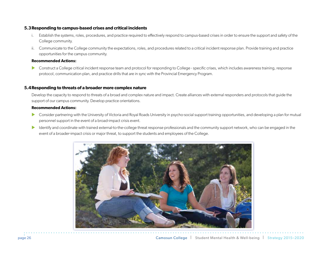#### **5.3Responding to campus-based crises and critical incidents**

- i. Establish the systems, roles, procedures, and practice required to effectively respond to campus-based crises in order to ensure the support and safety of the College community.
- ii. Communicate to the College community the expectations, roles, and procedures related to a critical incident response plan. Provide training and practice opportunities for the campus community.

#### **Recommended Actions:**

Construct a College critical incident response team and protocol for responding to College - specific crises, which includes awareness training, response protocol, communication plan, and practice drills that are in sync with the Provincial Emergency Program.

#### **5.4Responding to threats of a broader more complex nature**

Develop the capacity to respond to threats of a broad and complex nature and impact. Create alliances with external responders and protocols that guide the support of our campus community. Develop practice orientations.

- **IX** Consider partnering with the University of Victoria and Royal Roads University in psycho-social support training opportunities, and developing a plan for mutual personnel support in the event of a broad-impact crisis event.
- Identify and coordinate with trained external-to-the-college threat response professionals and the community support network, who can be engaged in the event of a broader-impact crisis or major threat, to support the students and employees of the College.

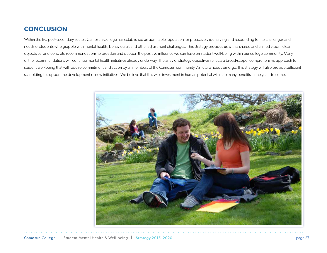## **CONCLUSION**

Within the BC post-secondary sector, Camosun College has established an admirable reputation for proactively identifying and responding to the challenges and needs of students who grapple with mental health, behavioural, and other adjustment challenges. This strategy provides us with a shared and unified vision, clear objectives, and concrete recommendations to broaden and deepen the positive influence we can have on student well-being within our college community. Many of the recommendations will continue mental health initiatives already underway. The array of strategy objectives reflects a broad-scope, comprehensive approach to student well-being that will require commitment and action by all members of the Camosun community. As future needs emerge, this strategy will also provide sufficient scaffolding to support the development of new initiatives. We believe that this wise investment in human potential will reap many benefits in the years to come.

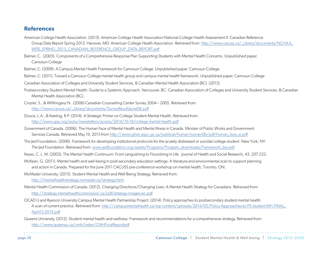### **References**

- American College Health Association. (2013). American College Health Association-National College Health Assessment II: Canadian Reference Group Data Report Spring 2013. Hanover, MD: American College Health Association. Retrieved from: http://www.cacuss.ca/\_Library/documents/NCHA-II\_ WEB\_SPRING\_2013\_CANADIAN\_REFERENCE\_GROUP\_DATA\_REPORT.pdf
- Balmer, C. (2005). Components of a Comprehensive Response Plan Supporting Students with Mental Health Concerns. Unpublished paper. Camosun College
- Balmer, C. (2009). A Campus Mental Health Framework for Camosun College. Unpublished paper. Camosun College
- Balmer, C. (2011). Toward a Camosun College mental health group and campus mental health framework. Unpublished paper. Camosun College
- Canadian Association of Colleges and University Student Services, & Canadian Mental Health Association (BC). (2013).
- Postsecondary Student Mental Health: Guide to a Systemic Approach. Vancouver, BC: Canadian Association of Colleges and University Student Services, & Canadian Mental Health Association (BC).
- Crozier, S., & Willihnganz N. (2006) Canadian Counselling Center Survey 2004 2005. Retrieved from: http://www.cacuss.ca/\_Library/documents/SurveyResultsJune06.pdf
- Douce, L.A., & Keeling, R.P. (2014). A Strategic Primer on College Student Mental Health. Retrieved from: http://www.apa.org/pubs/newsletters/access/2014/10-14/college-mental-health.pdf
- Government of Canada. (2006). The Human Face of Mental Health and Mental Illness in Canada. Minister of Public Works and Government Services Canada. Retrieved May 19, 2013 from http://www.phac-aspc.gc.ca/publicat/human-humain06/pdf/human\_face\_e.pdf
- The Jed Foundation. (2006). Framework for developing institutional protocols for the acutely distressed or suicidal college student. New York, NY: The Jed Foundation. Retrieved from: www.jedfoundation.org/assets/Programs/Program\_downloads/Framework\_bw.pdf
- Keyes, C. L. M. (2002). The Mental Health Continuum: From Languishing to Flourishing in Life. Journal of Health and Social Research, 43, 207-222.
- McKean, G. (2011). Mental health and well-being in post-secondary education settings: A literature and environmental scan to support planning and action in Canada. Prepared for the June 2011 CACUSS pre-conference workshop on mental health, Toronto, ON.
- McMaster University. (2015). Student Mental Health and Well-Being Strategy. Retrieved from: http://mentalhealthstrategy.mcmaster.ca/strategy.html
- Mental Health Commission of Canada. (2012). Changing Directions/Changing Lives: A Mental Health Strategy for Canadians. Retrieved from: http://strategy.mentalhealthcommission.ca/pdf/strategy-images-en.pdf
- OCAD U and Ryerson University Campus Mental Health Partnership Project. (2014). Policy approaches to postsecondary student mental health: A scan of current practice. Retrieved from: http://campusmentalhealth.ca/wp-content/uploads/2014/05/Policy-Approaches-to-PS-student-MH.FINAL\_ April15-2014.pdf
- Queens University. (2012). Student mental health and wellness: Framework and recommendations for a comprehensive strategy. Retrieved from: http://www.queensu.ca/cmh/index/CMHFinalReportpdf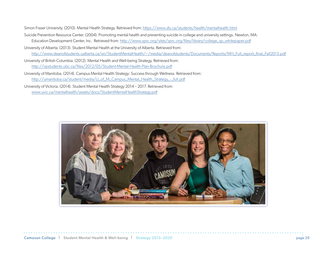Simon Fraser University. (2010). Mental Health Strategy. Retrieved from: https://www.sfu.ca/students/health/mentalhealth.html

- Suicide Prevention Resource Center. (2004). Promoting mental health and preventing suicide in college and university settings. Newton, MA: Education Development Center, Inc. Retrieved from: http://www.sprc.org/sites/sprc.org/files/library/college\_sp\_whitepaper.pdf
- University of Alberta. (2013). Student Mental Health at the University of Alberta. Retrieved from: http://www.deanofstudents.ualberta.ca/en/StudentMentalHealth/~/media/deanofstudents/Documents/Reports/MH\_Full\_report\_final\_Fall2013.pdf

University of British Columbia. (2012). Mental Health and Well-being Strategy. Retrieved from: http://vpstudents.ubc.ca/files/2012/05/Student-Mental-Health-Plan-Brochure.pdf

University of Manitoba. (2014). Campus Mental Health Strategy: Success through Wellness. Retrieved from: http://umanitoba.ca/student/media/U\_of\_M\_Campus\_Mental\_Health\_Strategy\_-\_full.pdf

University of Victoria. (2014). Student Mental Health Strategy 2014 – 2017. Retrieved from: www.uvic.ca/mentalhealth/assets/docs/StudentMentalHealthStrategy.pdf